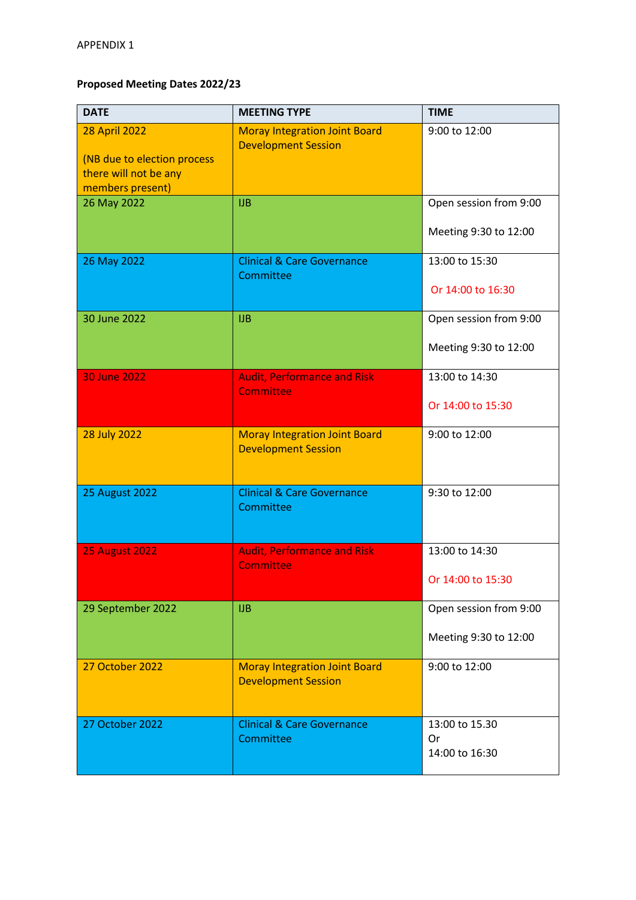## **Proposed Meeting Dates 2022/23**

| <b>DATE</b>                                                                                      | <b>MEETING TYPE</b>                                                | <b>TIME</b>                                     |
|--------------------------------------------------------------------------------------------------|--------------------------------------------------------------------|-------------------------------------------------|
| <b>28 April 2022</b><br>(NB due to election process<br>there will not be any<br>members present) | <b>Moray Integration Joint Board</b><br><b>Development Session</b> | 9:00 to 12:00                                   |
| 26 May 2022                                                                                      | <b>IJB</b>                                                         | Open session from 9:00<br>Meeting 9:30 to 12:00 |
| 26 May 2022                                                                                      | <b>Clinical &amp; Care Governance</b><br>Committee                 | 13:00 to 15:30<br>Or 14:00 to 16:30             |
| 30 June 2022                                                                                     | <b>IJB</b>                                                         | Open session from 9:00<br>Meeting 9:30 to 12:00 |
| 30 June 2022                                                                                     | <b>Audit, Performance and Risk</b><br><b>Committee</b>             | 13:00 to 14:30<br>Or 14:00 to 15:30             |
| <b>28 July 2022</b>                                                                              | <b>Moray Integration Joint Board</b><br><b>Development Session</b> | 9:00 to 12:00                                   |
| <b>25 August 2022</b>                                                                            | <b>Clinical &amp; Care Governance</b><br>Committee                 | 9:30 to 12:00                                   |
| <b>25 August 2022</b>                                                                            | <b>Audit, Performance and Risk</b><br><b>Committee</b>             | 13:00 to 14:30<br>Or 14:00 to 15:30             |
| 29 September 2022                                                                                | <b>IJB</b>                                                         | Open session from 9:00<br>Meeting 9:30 to 12:00 |
| 27 October 2022                                                                                  | <b>Moray Integration Joint Board</b><br><b>Development Session</b> | 9:00 to 12:00                                   |
| 27 October 2022                                                                                  | <b>Clinical &amp; Care Governance</b><br>Committee                 | 13:00 to 15.30<br>Or<br>14:00 to 16:30          |